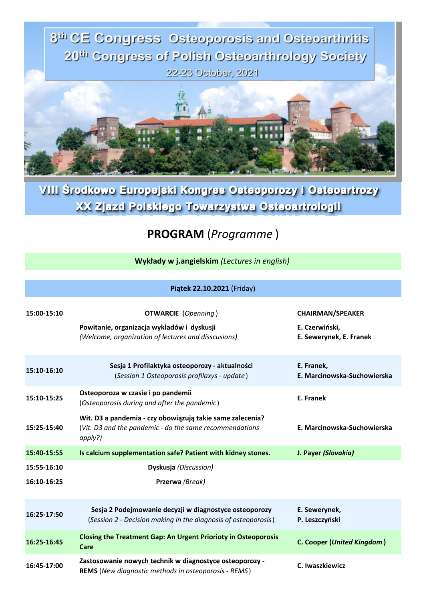

VIII Środkowo Europejski Kongres Osteoporozy i Osteoartrozy XX Zjazd Polskiego Towarzystwa Osteoartrologii

## **PROGRAM** (*Programme* )

**Wykłady w j.angielskim** *(Lectures in english)*

|             | Piątek 22.10.2021 (Friday)                                                                                                      |                                                                      |
|-------------|---------------------------------------------------------------------------------------------------------------------------------|----------------------------------------------------------------------|
| 15:00-15:10 | <b>OTWARCIE</b> (Openning)<br>Powitanie, organizacja wykładów i dyskusji<br>(Welcome, organization of lectures and disscusions) | <b>CHAIRMAN/SPEAKER</b><br>E. Czerwiński,<br>E. Sewerynek, E. Franek |
| 15:10-16:10 | Sesja 1 Profilaktyka osteoporozy - aktualności<br>(Session 1 Osteoporosis profilaxys - update)                                  | E. Franek,<br>E. Marcinowska-Suchowierska                            |
| 15:10-15:25 | Osteoporoza w czasie i po pandemii<br>(Osteoporosis during and after the pandemic)                                              | E. Franek                                                            |
| 15:25-15:40 | Wit. D3 a pandemia - czy obowiązują takie same zalecenia?<br>(Vit. D3 and the pandemic - do the same recommendations<br>apply?) | E. Marcinowska-Suchowierska                                          |
| 15:40-15:55 | Is calcium supplementation safe? Patient with kidney stones.                                                                    | J. Payer (Slovakia)                                                  |
| 15:55-16:10 | Dyskusja (Discussion)                                                                                                           |                                                                      |
| 16:10-16:25 | Przerwa (Break)                                                                                                                 |                                                                      |
| 16:25-17:50 | Sesja 2 Podejmowanie decyzji w diagnostyce osteoporozy<br>(Session 2 - Decision making in the diagnosis of osteoporosis)        | E. Sewerynek,<br>P. Leszczyński                                      |
| 16:25-16:45 | <b>Closing the Treatment Gap: An Urgent Priorioty in Osteoporosis</b><br>Care                                                   | <b>C. Cooper (United Kingdom)</b>                                    |
| 16:45-17:00 | Zastosowanie nowych technik w diagnostyce osteoporozy -<br>REMS (New diagnostic methods in osteoporosis - REMS)                 | C. Iwaszkiewicz                                                      |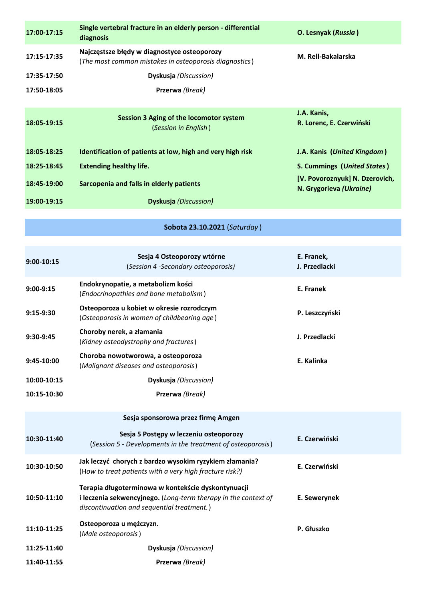| 17:00-17:15 | Single vertebral fracture in an elderly person - differential<br>diagnosis                            | O. Lesnyak (Russia)                                       |
|-------------|-------------------------------------------------------------------------------------------------------|-----------------------------------------------------------|
| 17:15-17:35 | Najczęstsze błędy w diagnostyce osteoporozy<br>(The most common mistakes in osteoporosis diagnostics) | M. Rell-Bakalarska                                        |
| 17:35-17:50 | <b>Dyskusja</b> (Discussion)                                                                          |                                                           |
| 17:50-18:05 | Przerwa (Break)                                                                                       |                                                           |
|             |                                                                                                       |                                                           |
| 18:05-19:15 | Session 3 Aging of the locomotor system<br>(Session in English)                                       | J.A. Kanis,<br>R. Lorenc, E. Czerwiński                   |
| 18:05-18:25 | Identification of patients at low, high and very high risk                                            | J.A. Kanis (United Kingdom)                               |
| 18:25-18:45 | <b>Extending healthy life.</b>                                                                        | S. Cummings (United States)                               |
| 18:45-19:00 | Sarcopenia and falls in elderly patients                                                              | [V. Povoroznyuk] N. Dzerovich,<br>N. Grygorieva (Ukraine) |
| 19:00-19:15 | <b>Dyskusja</b> ( <i>Discussion</i> )                                                                 |                                                           |

## **Sobota 23.10.2021** (*Saturday* )

| $9:00-10:15$ | Sesja 4 Osteoporozy wtórne<br>(Session 4 -Secondary osteoporosis)                                                                                                  | E. Franek,<br>J. Przedlacki |
|--------------|--------------------------------------------------------------------------------------------------------------------------------------------------------------------|-----------------------------|
| 9:00-9:15    | Endokrynopatie, a metabolizm kości<br>(Endocrinopathies and bone metabolism)                                                                                       | E. Franek                   |
| $9:15-9:30$  | Osteoporoza u kobiet w okresie rozrodczym<br>(Osteoporosis in women of childbearing age)                                                                           | P. Leszczyński              |
| 9:30-9:45    | Choroby nerek, a złamania<br>(Kidney osteodystrophy and fractures)                                                                                                 | J. Przedlacki               |
| 9:45-10:00   | Choroba nowotworowa, a osteoporoza<br>(Malignant diseases and osteoporosis)                                                                                        | E. Kalinka                  |
| 10:00-10:15  | Dyskusja (Discussion)                                                                                                                                              |                             |
| 10:15-10:30  | Przerwa (Break)                                                                                                                                                    |                             |
|              | Sesja sponsorowa przez firmę Amgen                                                                                                                                 |                             |
| 10:30-11:40  | Sesja 5 Postępy w leczeniu osteoporozy<br>(Session 5 - Developments in the treatment of osteoporosis)                                                              | E. Czerwiński               |
| 10:30-10:50  | Jak leczyć chorych z bardzo wysokim ryzykiem złamania?<br>(How to treat patients with a very high fracture risk?)                                                  | E. Czerwiński               |
| 10:50-11:10  | Terapia długoterminowa w kontekście dyskontynuacji<br>i leczenia sekwencyjnego. (Long-term therapy in the context of<br>discontinuation and sequential treatment.) | E. Sewerynek                |
| 11:10-11:25  | Osteoporoza u mężczyzn.<br>(Male osteoporosis)                                                                                                                     | P. Głuszko                  |
| 11:25-11:40  | Dyskusja (Discussion)                                                                                                                                              |                             |
| 11:40-11:55  | Przerwa (Break)                                                                                                                                                    |                             |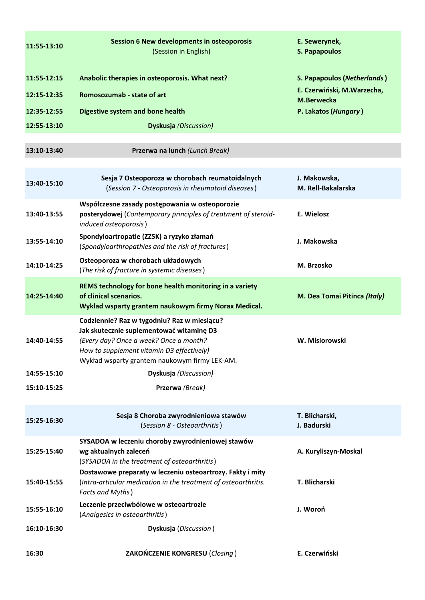| 11:55-13:10 | <b>Session 6 New developments in osteoporosis</b><br>(Session in English)                                                                                                                                                       | E. Sewerynek,<br><b>S. Papapoulos</b>            |
|-------------|---------------------------------------------------------------------------------------------------------------------------------------------------------------------------------------------------------------------------------|--------------------------------------------------|
| 11:55-12:15 | Anabolic therapies in osteoporosis. What next?                                                                                                                                                                                  | S. Papapoulos (Netherlands)                      |
| 12:15-12:35 | Romosozumab - state of art                                                                                                                                                                                                      | E. Czerwiński, M. Warzecha,<br><b>M.Berwecka</b> |
| 12:35-12:55 | <b>Digestive system and bone health</b>                                                                                                                                                                                         | P. Lakatos (Hungary)                             |
| 12:55-13:10 | <b>Dyskusja</b> (Discussion)                                                                                                                                                                                                    |                                                  |
| 13:10-13:40 | Przerwa na lunch (Lunch Break)                                                                                                                                                                                                  |                                                  |
| 13:40-15:10 | Sesja 7 Osteoporoza w chorobach reumatoidalnych<br>(Session 7 - Osteoporosis in rheumatoid diseases)                                                                                                                            | J. Makowska,<br>M. Rell-Bakalarska               |
| 13:40-13:55 | Współczesne zasady postępowania w osteoporozie<br>posterydowej (Contemporary principles of treatment of steroid-<br>induced osteoporosis)                                                                                       | E. Wielosz                                       |
| 13:55-14:10 | Spondyloartropatie (ZZSK) a ryzyko złamań<br>(Spondyloarthropathies and the risk of fractures)                                                                                                                                  | J. Makowska                                      |
| 14:10-14:25 | Osteoporoza w chorobach układowych<br>(The risk of fracture in systemic diseases)                                                                                                                                               | M. Brzosko                                       |
| 14:25-14:40 | REMS technology for bone health monitoring in a variety<br>of clinical scenarios.<br>Wykład wsparty grantem naukowym firmy Norax Medical.                                                                                       | M. Dea Tomai Pitinca (Italy)                     |
| 14:40-14:55 | Codziennie? Raz w tygodniu? Raz w miesiącu?<br>Jak skutecznie suplementować witaminę D3<br>(Every day? Once a week? Once a month?<br>How to supplement vitamin D3 effectively)<br>Wykład wsparty grantem naukowym firmy LEK-AM. | W. Misiorowski                                   |
| 14:55-15:10 | Dyskusja (Discussion)                                                                                                                                                                                                           |                                                  |
| 15:10-15:25 | Przerwa (Break)                                                                                                                                                                                                                 |                                                  |
| 15:25-16:30 | Sesja 8 Choroba zwyrodnieniowa stawów<br>(Session 8 - Osteoarthritis)                                                                                                                                                           | T. Blicharski,<br>J. Badurski                    |
| 15:25-15:40 | SYSADOA w leczeniu choroby zwyrodnieniowej stawów<br>wg aktualnych zaleceń<br>(SYSADOA in the treatment of osteoarthritis)                                                                                                      | A. Kuryliszyn-Moskal                             |
| 15:40-15:55 | Dostawowe preparaty w leczeniu osteoartrozy. Fakty i mity<br>(Intra-articular medication in the treatment of osteoarthritis.<br>Facts and Myths)                                                                                | T. Blicharski                                    |
| 15:55-16:10 | Leczenie przeciwbólowe w osteoartrozie<br>(Analgesics in osteoarthritis)                                                                                                                                                        | J. Woroń                                         |
| 16:10-16:30 | Dyskusja (Discussion)                                                                                                                                                                                                           |                                                  |
| 16:30       | ZAKOŃCZENIE KONGRESU (Closing)                                                                                                                                                                                                  | E. Czerwiński                                    |